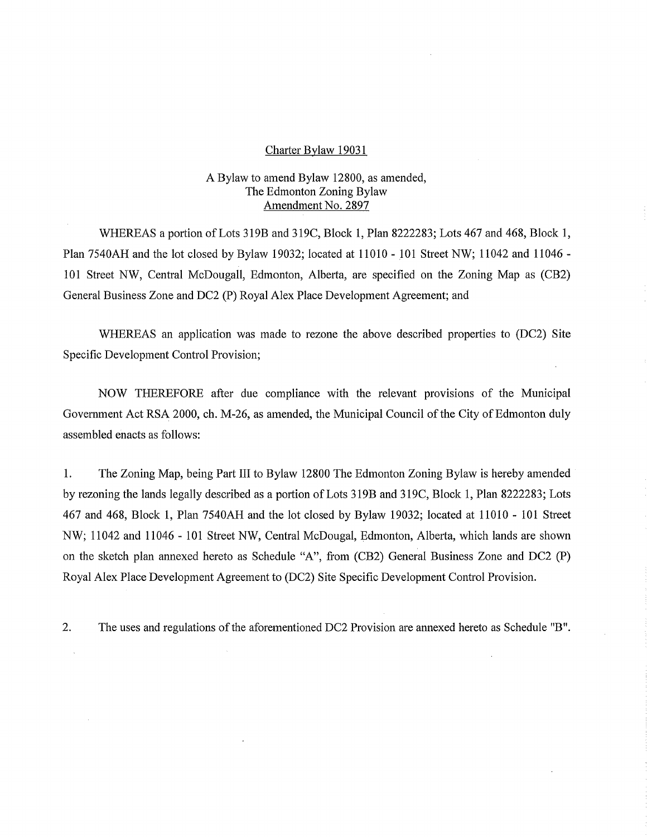#### Charter Bylaw 19031

## A Bylaw to amend Bylaw 12800, as amended, The Edmonton Zoning Bylaw Amendment No. 2897

WHEREAS a portion of Lots 319B and 319C, Block 1, Plan 8222283; Lots 467 and 468, Block 1, Plan 7540AH and the lot closed by Bylaw 19032; located at 11010 - 101 Street NW; 11042 and 11046 - 101 Street NW, Central McDougall, Edmonton, Alberta, are specified on the Zoning Map as (CB2) General Business Zone and DC2 (P) Royal Alex Place Development Agreement; and

WHEREAS an application was made to rezone the above described properties to (DC2) Site Specific Development Control Provision;

NOW THEREFORE after due compliance with the relevant provisions of the Municipal Government Act RSA 2000, ch. M-26, as amended, the Municipal Council of the City of Edmonton duly assembled enacts as follows:

1. The Zoning Map, being Part III to Bylaw 12800 The Edmonton Zoning Bylaw is hereby amended by rezoning the lands legally described as a portion of Lots 319B and 319C, Block 1, Plan 8222283; Lots 467 and 468, Block 1, Plan 7540AH and the lot closed by Bylaw 19032; located at 11010 - 101 Street NW; 11042 and 11046 - 101 Street NW, Central McDougal, Edmonton, Alberta, which lands are shown on the sketch plan annexed hereto as Schedule "A", from (CB2) General Business Zone and DC2 (P) Royal Alex Place Development Agreement to (DC2) Site Specific Development Control Provision.

2. The uses and regulations of the aforementioned DC2 Provision are annexed hereto as Schedule "B".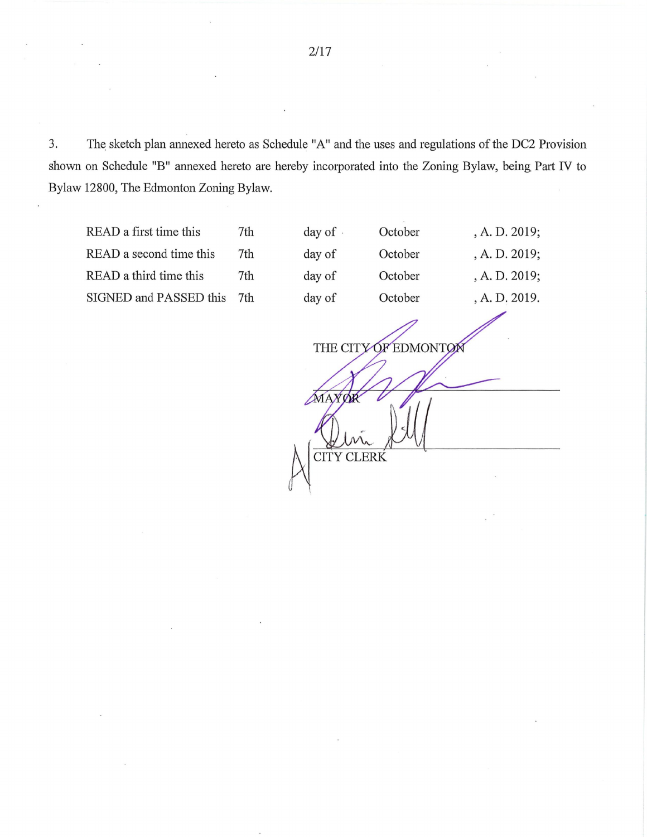3. The sketch plan annexed hereto as Schedule "A" and the uses and regulations of the DC2 Provision shown on Schedule "B" annexed hereto are hereby incorporated into the Zoning Bylaw, being Part IV to Bylaw 12800, The Edmonton Zoning Bylaw.

READ a first time this 7th day READ a second time this 7th day READ a third time this 7th day SIGNED and PASSED this 7th day

| y of · | October | , A. D. 2019; |
|--------|---------|---------------|
| y of   | October | , A. D. 2019; |
| y of   | October | , A. D. 2019; |
| y of   | October | , A. D. 2019. |
|        |         |               |

THE CITY OF EDMONTO MAX CITY CLERK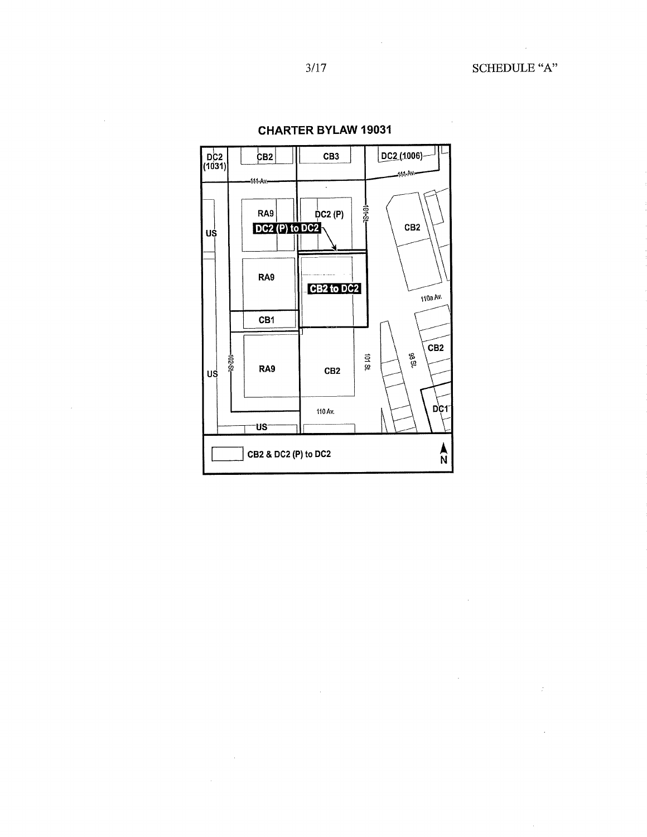$\cdot$ 

 $\mathcal{A}^{\mathcal{A}}$ 

 $\sim$ 



 $\ddot{\phantom{a}}$ 

 $\sim$ 

**CHARTER BYLAW 19031** 

 $\bar{\beta}$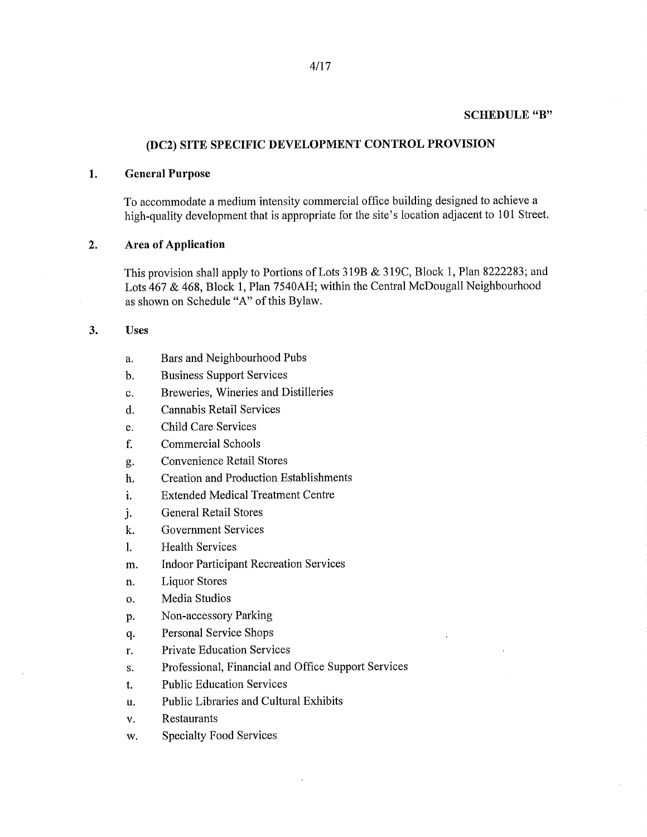# **(DC2) SITE SPECIFIC DEVELOPMENT CONTROL PROVISION**

### **1. General Purpose**

To accommodate a medium intensity commercial office building designed to achieve a high-quality development that is appropriate for the site's location adjacent to 101 Street.

#### **2. Area of Application**

This provision shall apply to Portions of Lots 319B & 319C, Block 1, Plan 8222283; and Lots 467 & 468, Block 1, Plan 7540AH; within the Central McDougall Neighbourhood as shown on Schedule "A" of this Bylaw.

#### **3. Uses**

- a. Bars and Neighbourhood Pubs
- b. Business Support Services
- c. Breweries, Wineries and Distilleries
- d. Cannabis Retail Services
- e. Child Care Services
- f. Commercial Schools
- g. Convenience Retail Stores
- h. Creation and Production Establishments
- i. Extended Medical Treatment Centre
- j. General Retail Stores
- k. Government Services
- 1. Health Services
- m. Indoor Participant Recreation Services
- n. Liquor Stores
- o. Media Studios
- p. Non-accessory Parking
- q. Personal Service Shops
- r. Private Education Services
- s. Professional, Financial and Office Support Services
- t. Public Education Services
- u. Public Libraries and Cultural Exhibits
- v. Restaurants
- w. Specialty Food Services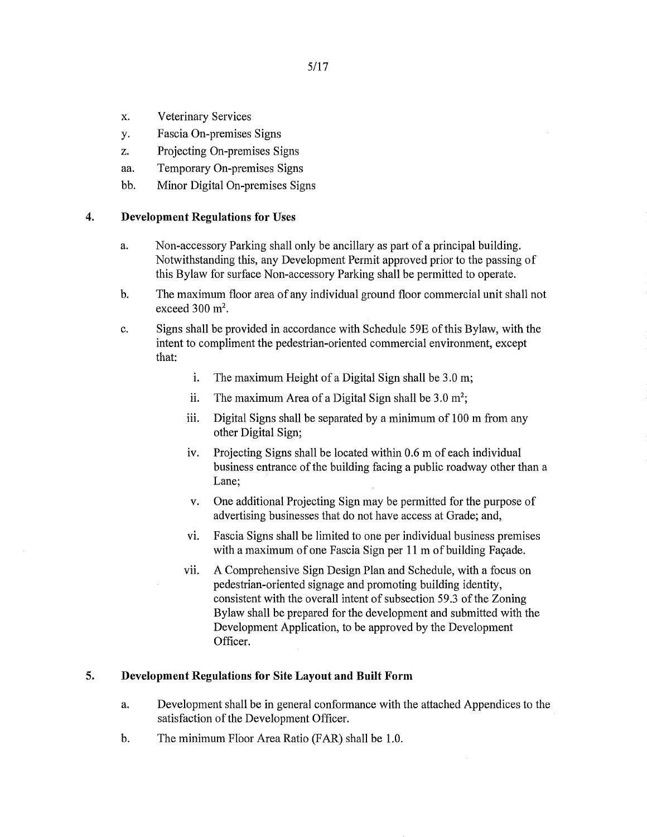- x. Veterinary Services
- y. Fascia On-premises Signs
- z. Projecting On-premises Signs
- aa. Temporary On-premises Signs
- bb. Minor Digital On-premises Signs

### **4. Development Regulations for Uses**

- a. Non-accessory Parking shall only be ancillary as part of a principal building. Notwithstanding this, any Development Permit approved prior to the passing of this Bylaw for surface Non-accessory Parking shall be permitted to operate.
- b. The maximum floor area of any individual ground floor commercial unit shall not exceed  $300 \text{ m}^2$ .
- c. Signs shall be provided in accordance with Schedule 59E of this Bylaw, with the intent to compliment the pedestrian-oriented commercial environment, except that:
	- i. The maximum Height of a Digital Sign shall be 3.0 m;
	- ii. The maximum Area of a Digital Sign shall be  $3.0 \text{ m}^2$ ;
	- iii. Digital Signs shall be separated by a minimum of 100 m from any other Digital Sign;
	- iv. Projecting Signs shall be located within 0.6 m of each individual business entrance of the building facing a public roadway other than a Lane;
	- v. One additional Projecting Sign may be permitted for the purpose of advertising businesses that do not have access at Grade; and,
	- vi. Fascia Signs shall be limited to one per individual business premises with a maximum of one Fascia Sign per 11 m of building Facade.
	- vii. A Comprehensive Sign Design Plan and Schedule, with a focus on pedestrian-oriented signage and promoting building identity, consistent with the overall intent of subsection 59.3 of the Zoning Bylaw shall be prepared for the development and submitted with the Development Application, to be approved by the Development Officer.

## **5. Development Regulations for Site Layout and Built Form**

- a. Development shall be in general conformance with the attached Appendices to the satisfaction of the Development Officer.
- b. The minimum Floor Area Ratio (FAR) shall be 1.0.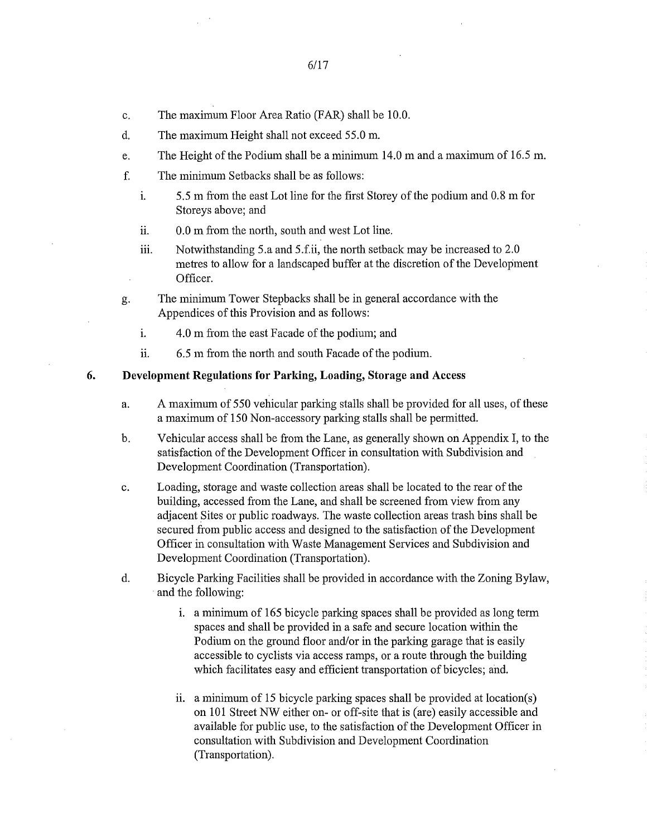- c. The maximum Floor Area Ratio (FAR) shall be 10.0.
- d. The maximum Height shall not exceed 55.0 m.
- e. The Height of the Podium shall be a minimum 14.0 m and a maximum of 16.5 m.
- f. The minimum Setbacks shall be as follows:
	- i. 5.5 m from the east Lot line for the first Storey of the podium and 0.8 m for Storeys above; and
	- ii. 0.0 m from the north, south and west Lot line.
	- iii. Notwithstanding 5.a and 5.f.ii, the north setback may be increased to 2.0 metres to allow for a landscaped buffer at the discretion of the Development Officer.
- g. The minimum Tower Stepbacks shall be in general accordance with the Appendices of this Provision and as follows:
	- i. 4.0 m from the east Facade of the podium; and
	- ii. 6.5 m from the north and south Facade of the podium.

#### 6. Development Regulations for Parking, Loading, Storage and Access

- a. A maximum of 550 vehicular parking stalls shall be provided for all uses, of these a maximum of 150 Non-accessory parking stalls shall be permitted.
- b. Vehicular access shall be from the Lane, as generally shown on Appendix I, to the satisfaction of the Development Officer in consultation with Subdivision and Development Coordination (Transportation).
- c. Loading, storage and waste collection areas shall be located to the rear of the building, accessed from the Lane, and shall be screened from view from any adjacent Sites or public roadways. The waste collection areas trash bins shall be secured from public access and designed to the satisfaction of the Development Officer in consultation with Waste Management Services and Subdivision and Development Coordination (Transportation).
- d. Bicycle Parking Facilities shall be provided in accordance with the Zoning Bylaw, and the following:
	- i. a minimum of 165 bicycle parking spaces shall be provided as long term spaces and shall be provided in a safe and secure location within the Podium on the ground floor and/or in the parking garage that is easily accessible to cyclists via access ramps, or a route through the building which facilitates easy and efficient transportation of bicycles; and.
	- ii. a minimum of 15 bicycle parking spaces shall be provided at location(s) on 101 Street NW either on- or off-site that is (are) easily accessible and available for public use, to the satisfaction of the Development Officer in consultation with Subdivision and Development Coordination (Transportation).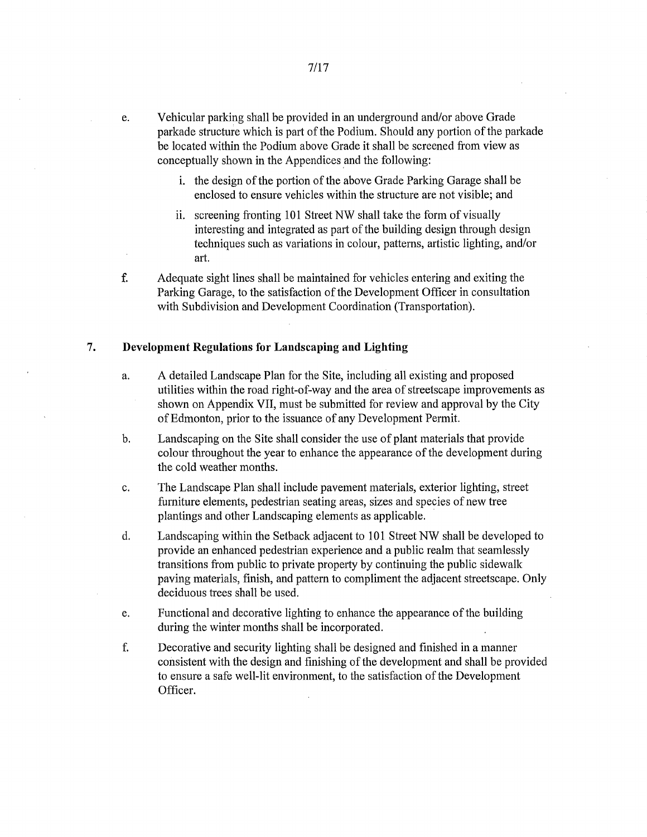- e. Vehicular parking shall be provided in an underground and/or above Grade parkade structure which is part of the Podium. Should any portion of the parkade be located within the Podium above Grade it shall be screened from view as conceptually shown in the Appendices and the following:
	- i. the design of the portion of the above Grade Parking Garage shall be enclosed to ensure vehicles within the structure are not visible; and
	- ii. screening fronting 101 Street NW shall take the form of visually interesting and integrated as part of the building design through design techniques such as variations in colour, patterns, artistic lighting, and/or art.
- f. Adequate sight lines shall be maintained for vehicles entering and exiting the Parking Garage, to the satisfaction of the Development Officer in consultation with Subdivision and Development Coordination (Transportation).

#### **7. Development Regulations for Landscaping and Lighting**

- a. A detailed Landscape Plan for the Site, including all existing and proposed utilities within the road right-of-way and the area of streetscape improvements as shown on Appendix VII, must be submitted for review and approval by the City of Edmonton, prior to the issuance of any Development Permit.
- b. Landscaping on the Site shall consider the use of plant materials that provide colour throughout the year to enhance the appearance of the development during the cold weather months.
- c. The Landscape Plan shall include pavement materials, exterior lighting, street furniture elements, pedestrian seating areas, sizes and species of new tree plantings and other Landscaping elements as applicable.
- d. Landscaping within the Setback adjacent to 101 Street NW shall be developed to provide an enhanced pedestrian experience and a public realm that seamlessly transitions from public to private property by continuing the public sidewalk paving materials, finish, and pattern to compliment the adjacent streetscape. Only deciduous trees shall be used.
- e. Functional and decorative lighting to enhance the appearance of the building during the winter months shall be incorporated.
- f. Decorative and security lighting shall be designed and finished in a manner consistent with the design and finishing of the development and shall be provided to ensure a safe well-lit environment, to the satisfaction of the Development Officer.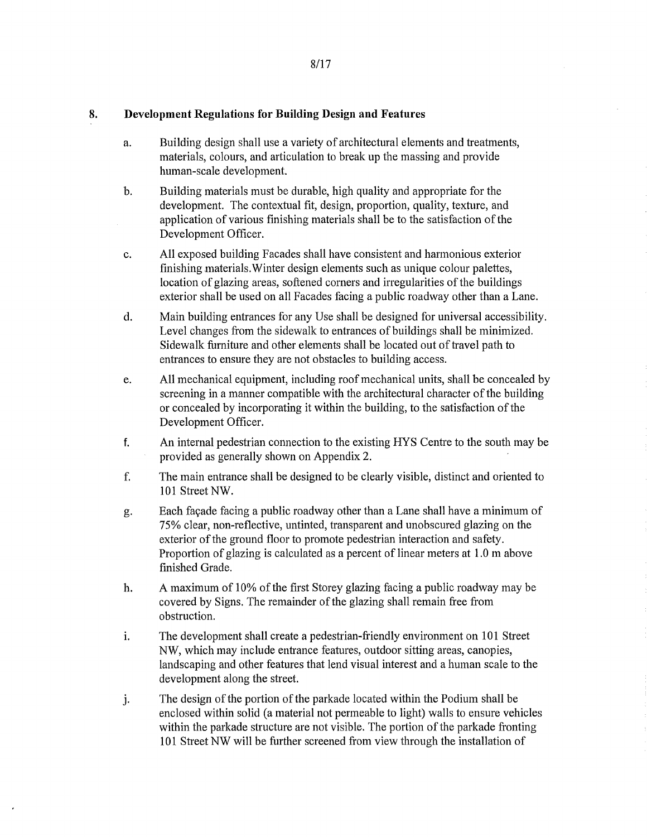## 8. Development Regulations for Building Design and Features

- a. Building design shall use a variety of architectural elements and treatments, materials, colours, and articulation to break up the massing and provide human-scale development.
- b. Building materials must be durable, high quality and appropriate for the development. The contextual fit, design, proportion, quality, texture, and application of various finishing materials shall be to the satisfaction of the Development Officer.
- c. All exposed building Facades shall have consistent and harmonious exterior finishing materials.Winter design elements such as unique colour palettes, location of glazing areas, softened corners and irregularities of the buildings exterior shall be used on all Facades facing a public roadway other than a Lane.
- d. Main building entrances for any Use shall be designed for universal accessibility. Level changes from the sidewalk to entrances of buildings shall be minimized. Sidewalk furniture and other elements shall be located out of travel path to entrances to ensure they are not obstacles to building access.
- e. All mechanical equipment, including roof mechanical units, shall be concealed by screening in a manner compatible with the architectural character of the building or concealed by incorporating it within the building, to the satisfaction of the Development Officer.
- f. An internal pedestrian connection to the existing HYS Centre to the south may be provided as generally shown on Appendix 2.
- f. The main entrance shall be designed to be clearly visible, distinct and oriented to 101 Street NW.
- g. Each facade facing a public roadway other than a Lane shall have a minimum of 75% clear, non-reflective, untinted, transparent and unobscured glazing on the exterior of the ground floor to promote pedestrian interaction and safety. Proportion of glazing is calculated as a percent of linear meters at 1.0 m above finished Grade.
- h. A maximum of 10% of the first Storey glazing facing a public roadway may be covered by Signs. The remainder of the glazing shall remain free from obstruction.
- i. The development shall create a pedestrian-friendly environment on 101 Street NW, which may include entrance features, outdoor sitting areas, canopies, landscaping and other features that lend visual interest and a human scale to the development along the street.
- The design of the portion of the parkade located within the Podium shall be j. enclosed within solid (a material not permeable to light) walls to ensure vehicles within the parkade structure are not visible. The portion of the parkade fronting 101 Street NW will be further screened from view through the installation of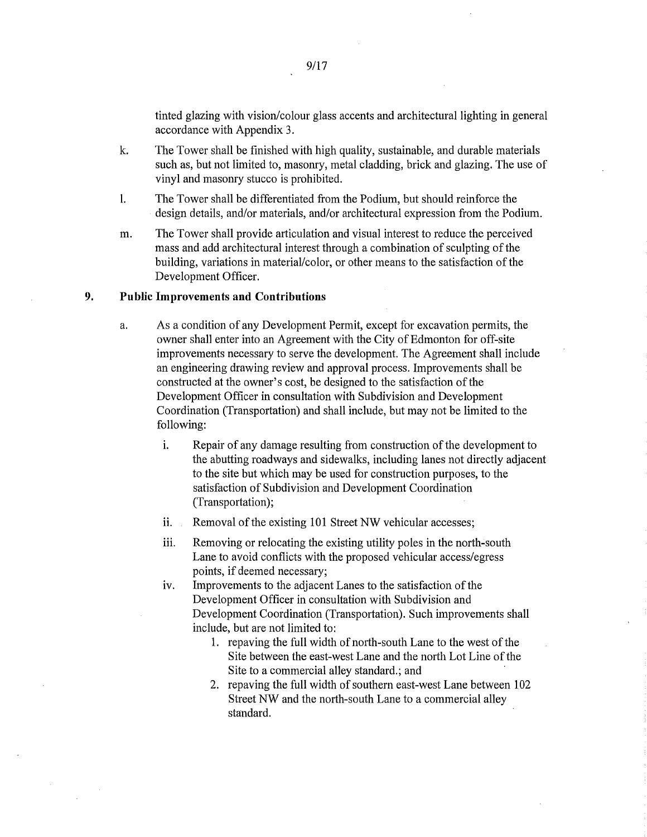tinted glazing with vision/colour glass accents and architectural lighting in general accordance with Appendix 3.

- k. The Tower shall be finished with high quality, sustainable, and durable materials such as, but not limited to, masonry, metal cladding, brick and glazing. The use of vinyl and masonry stucco is prohibited.
- 1. The Tower shall be differentiated from the Podium, but should reinforce the design details, and/or materials, and/or architectural expression from the Podium.
- m. The Tower shall provide articulation and visual interest to reduce the perceived mass and add architectural interest through a combination of sculpting of the building, variations in material/color, or other means to the satisfaction of the Development Officer.

## 9. Public Improvements and Contributions

- a. As a condition of any Development Permit, except for excavation permits, the owner shall enter into an Agreement with the City of Edmonton for off-site improvements necessary to serve the development. The Agreement shall include an engineering drawing review and approval process. Improvements shall be constructed at the owner's cost, be designed to the satisfaction of the Development Officer in consultation with Subdivision and Development Coordination (Transportation) and shall include, but may not be limited to the following:
	- i. Repair of any damage resulting from construction of the development to the abutting roadways and sidewalks, including lanes not directly adjacent to the site but which may be used for construction purposes, to the satisfaction of Subdivision and Development Coordination (Transportation);
	- ii. Removal of the existing 101 Street NW vehicular accesses;
	- iii. Removing or relocating the existing utility poles in the north-south Lane to avoid conflicts with the proposed vehicular access/egress points, if deemed necessary;
	- iv. Improvements to the adjacent Lanes to the satisfaction of the Development Officer in consultation with Subdivision and Development Coordination (Transportation). Such improvements shall include, but are not limited to:
		- 1. repaving the full width of north-south Lane to the west of the Site between the east-west Lane and the north Lot Line of the Site to a commercial alley standard.; and
		- 2. repaving the full width of southern east-west Lane between 102 Street NW and the north-south Lane to a commercial alley standard.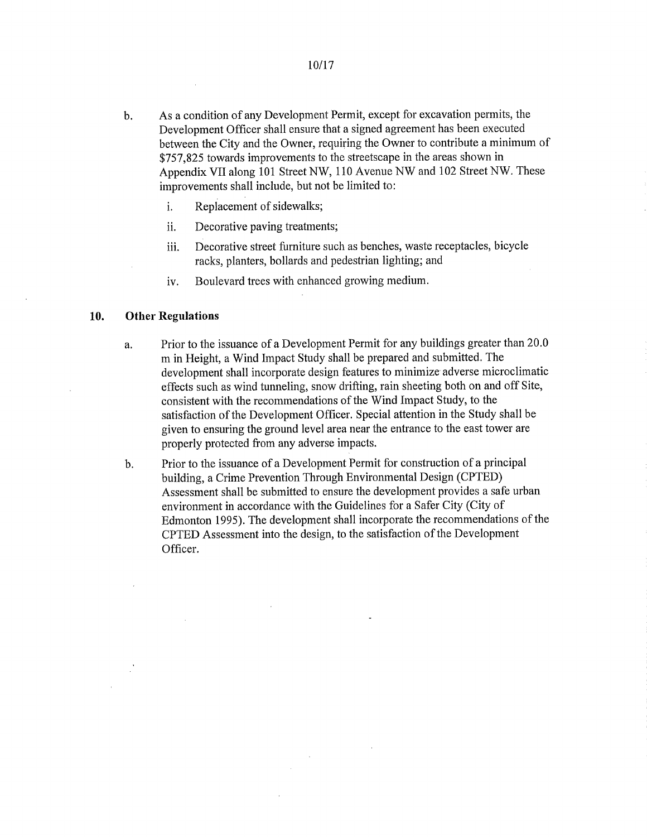- b. As a condition of any Development Permit, except for excavation permits, the Development Officer shall ensure that a signed agreement has been executed between the City and the Owner, requiring the Owner to contribute a minimum of \$757,825 towards improvements to the streetscape in the areas shown in Appendix VII along 101 Street NW, 110 Avenue NW and 102 Street NW. These improvements shall include, but not be limited to:
	- i. Replacement of sidewalks;

 $\bar{z}$ 

- ii. Decorative paving treatments;
- Decorative street furniture such as benches, waste receptacles, bicycle iii. racks, planters, bollards and pedestrian lighting; and
- iv. Boulevard trees with enhanced growing medium.

#### 10. Other Regulations

- a. Prior to the issuance of a Development Permit for any buildings greater than 20.0 m in Height, a Wind Impact Study shall be prepared and submitted. The development shall incorporate design features to minimize adverse microclimatic effects such as wind tunneling, snow drifting, rain sheeting both on and off Site, consistent with the recommendations of the Wind Impact Study, to the satisfaction of the Development Officer. Special attention in the Study shall be given to ensuring the ground level area near the entrance to the east tower are properly protected from any adverse impacts.
- b. Prior to the issuance of a Development Permit for construction of a principal building, a Crime Prevention Through Environmental Design (CPTED) Assessment shall be submitted to ensure the development provides a safe urban environment in accordance with the Guidelines for a Safer City (City of Edmonton 1995). The development shall incorporate the recommendations of the CPTED Assessment into the design, to the satisfaction of the Development Officer.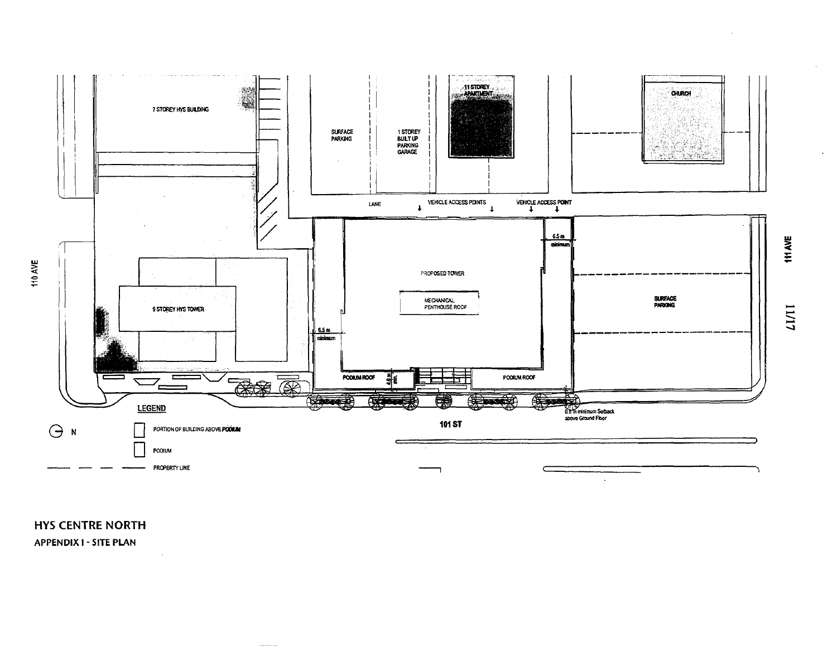

**HYS CENTRE NORTH APPENDIX I - SITE PLAN** 

LIVII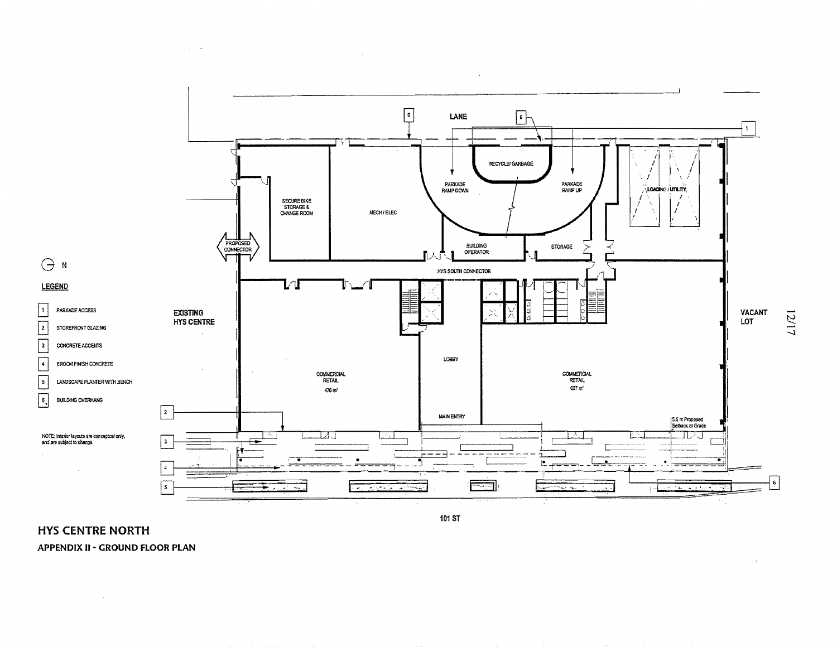

 $\sim$ 

101 ST

 $\lambda$ 

**HYS CENTRE NORTH** 

 $\alpha$ 

**APPENDIX II - GROUND FLOOR PLAN** 

 $\Delta\sim 10^{-4}$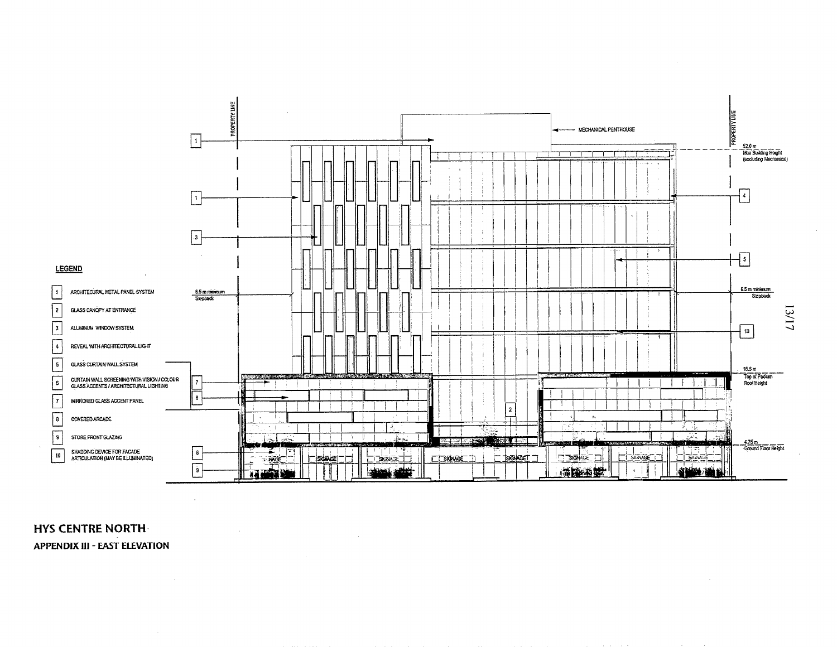

# **HYS CENTRE NORTH-APPENDIX III - EAST ELEVATION**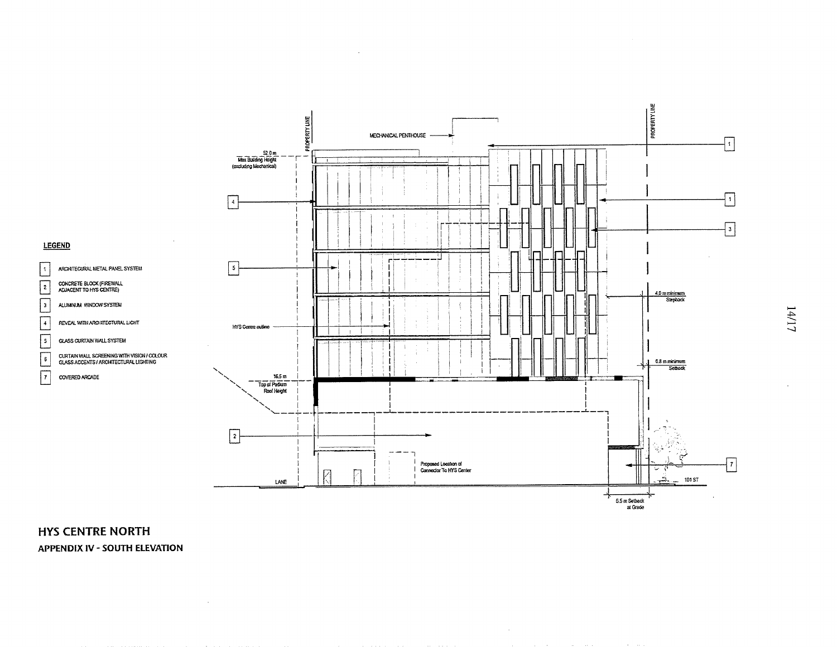

**HYS CENTRE NORTH APPENDIX IV - SOUTH ELEVATION**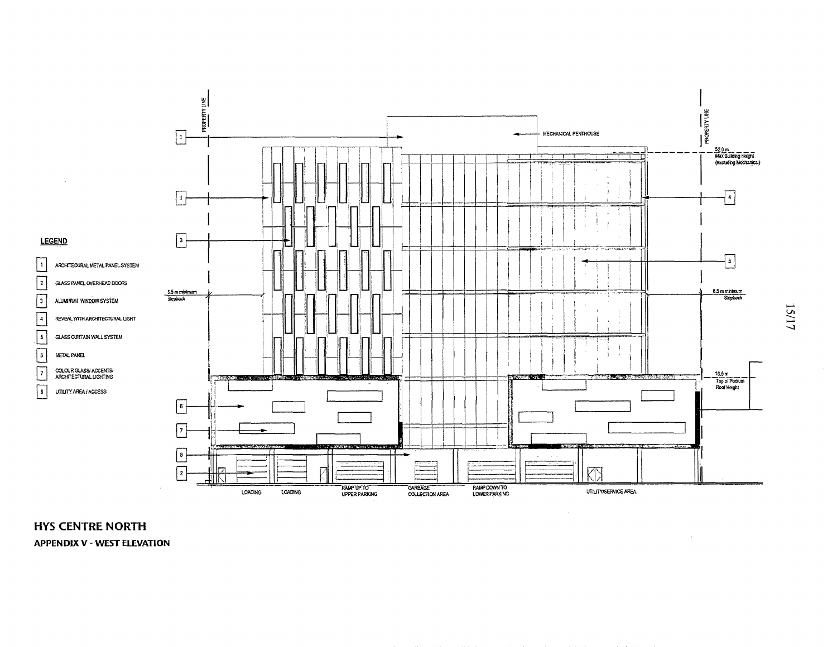

# **HYS CENTRE NORTH APPENDIX V - WEST ELEVATION**

15/17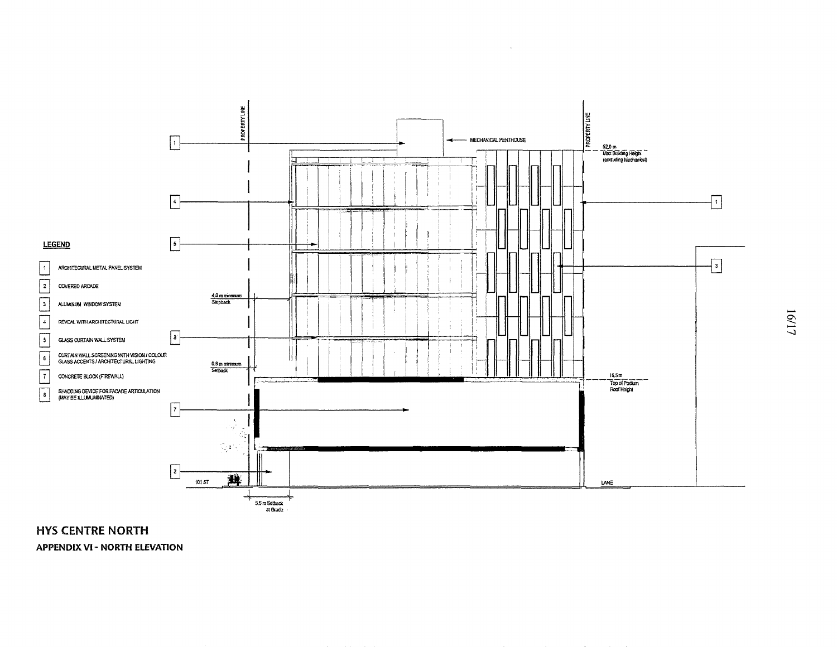